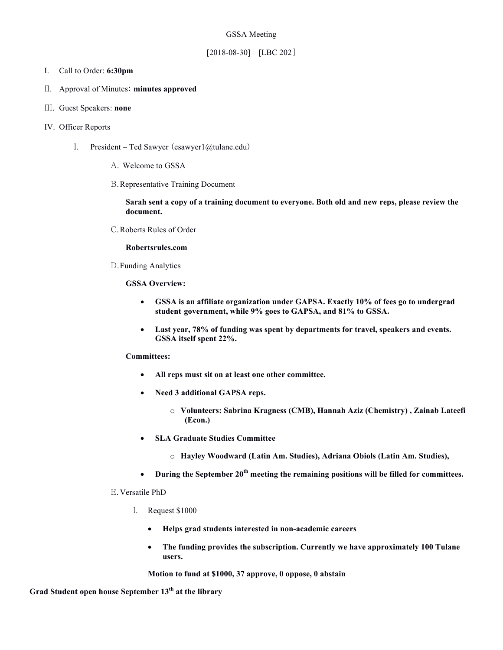# GSSA Meeting

# $[2018-08-30] - [LBC 202]$

## I. Call to Order: **6:30pm**

## II. Approval of Minutes: **minutes approved**

- III. Guest Speakers: **none**
- IV. Officer Reports
	- I. President Ted Sawyer (esawyer $1$ @tulane.edu)
		- A. Welcome to GSSA
		- B.Representative Training Document

**Sarah sent a copy of a training document to everyone. Both old and new reps, please review the document.** 

C.Roberts Rules of Order

#### **Robertsrules.com**

D.Funding Analytics

**GSSA Overview:**

- **GSSA is an affiliate organization under GAPSA. Exactly 10% of fees go to undergrad student government, while 9% goes to GAPSA, and 81% to GSSA.**
- **Last year, 78% of funding was spent by departments for travel, speakers and events. GSSA itself spent 22%.**

# **Committees:**

- **All reps must sit on at least one other committee.**
- **Need 3 additional GAPSA reps.** 
	- o **Volunteers: Sabrina Kragness (CMB), Hannah Aziz (Chemistry) , Zainab Lateefi (Econ.)**
- **SLA Graduate Studies Committee** 
	- o **Hayley Woodward (Latin Am. Studies), Adriana Obiols (Latin Am. Studies),**
- **During the September 20th meeting the remaining positions will be filled for committees.**

#### E.Versatile PhD

- I. Request \$1000
	- **Helps grad students interested in non-academic careers**
	- **The funding provides the subscription. Currently we have approximately 100 Tulane users.**

**Motion to fund at \$1000, 37 approve, 0 oppose, 0 abstain** 

**Grad Student open house September 13th at the library**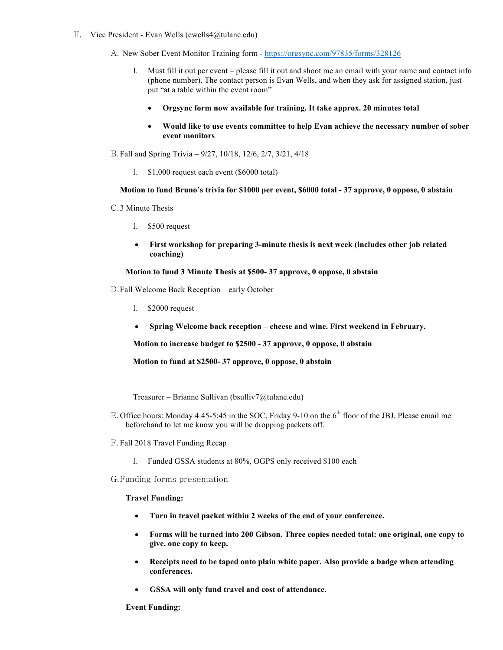- II. Vice President Evan Wells (ewells4@tulane.edu)
	- A. New Sober Event Monitor Training form https://orgsync.com/97835/forms/328126
		- I. Must fill it out per event please fill it out and shoot me an email with your name and contact info (phone number). The contact person is Evan Wells, and when they ask for assigned station, just put "at a table within the event room"
			- **Orgsync form now available for training. It take approx. 20 minutes total**
			- **Would like to use events committee to help Evan achieve the necessary number of sober event monitors**

B.Fall and Spring Trivia – 9/27, 10/18, 12/6, 2/7, 3/21, 4/18

I. \$1,000 request each event (\$6000 total)

## **Motion to fund Bruno's trivia for \$1000 per event, \$6000 total - 37 approve, 0 oppose, 0 abstain**

- C.3 Minute Thesis
	- I. \$500 request
	- **First workshop for preparing 3-minute thesis is next week (includes other job related coaching)**

**Motion to fund 3 Minute Thesis at \$500- 37 approve, 0 oppose, 0 abstain**

- D.Fall Welcome Back Reception early October
	- I. \$2000 request
	- **Spring Welcome back reception – cheese and wine. First weekend in February.**

**Motion to increase budget to \$2500 - 37 approve, 0 oppose, 0 abstain**

**Motion to fund at \$2500- 37 approve, 0 oppose, 0 abstain**

Treasurer – Brianne Sullivan (bsulliv7@tulane.edu)

- E. Office hours: Monday 4:45-5:45 in the SOC, Friday 9-10 on the 6<sup>th</sup> floor of the JBJ. Please email me beforehand to let me know you will be dropping packets off.
- F. Fall 2018 Travel Funding Recap
	- I. Funded GSSA students at 80%, OGPS only received \$100 each
- G.Funding forms presentation

#### **Travel Funding:**

- **Turn in travel packet within 2 weeks of the end of your conference.**
- **Forms will be turned into 200 Gibson. Three copies needed total: one original, one copy to give, one copy to keep.**
- **Receipts need to be taped onto plain white paper. Also provide a badge when attending conferences.**
- **GSSA will only fund travel and cost of attendance.**

#### **Event Funding:**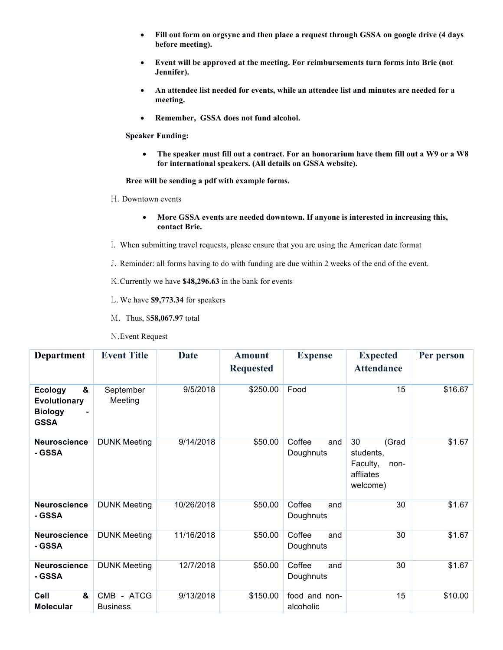- **Fill out form on orgsync and then place a request through GSSA on google drive (4 days before meeting).**
- **Event will be approved at the meeting. For reimbursements turn forms into Brie (not Jennifer).**
- **An attendee list needed for events, while an attendee list and minutes are needed for a meeting.**
- **Remember, GSSA does not fund alcohol.**

**Speaker Funding:** 

• **The speaker must fill out a contract. For an honorarium have them fill out a W9 or a W8 for international speakers. (All details on GSSA website).** 

**Bree will be sending a pdf with example forms.** 

- H. Downtown events
	- **More GSSA events are needed downtown. If anyone is interested in increasing this, contact Brie.**
- I. When submitting travel requests, please ensure that you are using the American date format
- J. Reminder: all forms having to do with funding are due within 2 weeks of the end of the event.

K.Currently we have **\$48,296.63** in the bank for events

- L. We have **\$9,773.34** for speakers
- M. Thus, \$**58,067.97** total

| <b>Department</b>                                                           | <b>Event Title</b>            | Date       | <b>Amount</b><br><b>Requested</b> | <b>Expense</b>             | <b>Expected</b><br><b>Attendance</b>                                  | Per person |
|-----------------------------------------------------------------------------|-------------------------------|------------|-----------------------------------|----------------------------|-----------------------------------------------------------------------|------------|
| &<br><b>Ecology</b><br><b>Evolutionary</b><br><b>Biology</b><br><b>GSSA</b> | September<br>Meeting          | 9/5/2018   | \$250.00                          | Food                       | 15                                                                    | \$16.67    |
| <b>Neuroscience</b><br>- GSSA                                               | <b>DUNK Meeting</b>           | 9/14/2018  | \$50.00                           | Coffee<br>and<br>Doughnuts | 30<br>(Grad<br>students,<br>Faculty,<br>non-<br>affliates<br>welcome) | \$1.67     |
| <b>Neuroscience</b><br>- GSSA                                               | <b>DUNK Meeting</b>           | 10/26/2018 | \$50.00                           | Coffee<br>and<br>Doughnuts | 30                                                                    | \$1.67     |
| Neuroscience<br>- GSSA                                                      | <b>DUNK Meeting</b>           | 11/16/2018 | \$50.00                           | Coffee<br>and<br>Doughnuts | 30                                                                    | \$1.67     |
| <b>Neuroscience</b><br>- GSSA                                               | <b>DUNK Meeting</b>           | 12/7/2018  | \$50.00                           | Coffee<br>and<br>Doughnuts | 30                                                                    | \$1.67     |
| Cell<br>&<br><b>Molecular</b>                                               | CMB - ATCG<br><b>Business</b> | 9/13/2018  | \$150.00                          | food and non-<br>alcoholic | 15                                                                    | \$10.00    |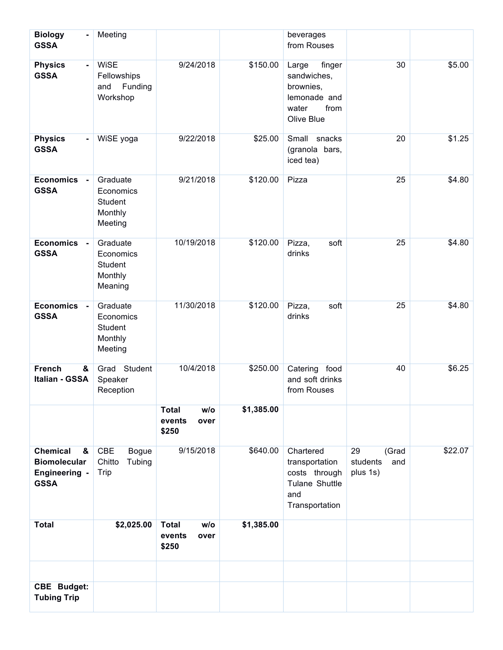| <b>Biology</b><br><b>GSSA</b>                                                      | Meeting                                                  |                                                |            | beverages<br>from Rouses                                                                   |                                            |         |
|------------------------------------------------------------------------------------|----------------------------------------------------------|------------------------------------------------|------------|--------------------------------------------------------------------------------------------|--------------------------------------------|---------|
| <b>Physics</b><br>$\blacksquare$<br><b>GSSA</b>                                    | <b>WiSE</b><br>Fellowships<br>Funding<br>and<br>Workshop | 9/24/2018                                      | \$150.00   | finger<br>Large<br>sandwiches,<br>brownies,<br>lemonade and<br>from<br>water<br>Olive Blue | 30                                         | \$5.00  |
| <b>Physics</b><br>$\blacksquare$<br><b>GSSA</b>                                    | WiSE yoga                                                | 9/22/2018                                      | \$25.00    | Small<br>snacks<br>(granola bars,<br>iced tea)                                             | 20                                         | \$1.25  |
| <b>Economics</b><br>$\blacksquare$<br><b>GSSA</b>                                  | Graduate<br>Economics<br>Student<br>Monthly<br>Meeting   | 9/21/2018                                      | \$120.00   | Pizza                                                                                      | 25                                         | \$4.80  |
| <b>Economics</b><br>$\sim$<br><b>GSSA</b>                                          | Graduate<br>Economics<br>Student<br>Monthly<br>Meaning   | 10/19/2018                                     | \$120.00   | Pizza,<br>soft<br>drinks                                                                   | 25                                         | \$4.80  |
| <b>Economics</b><br>$\blacksquare$<br><b>GSSA</b>                                  | Graduate<br>Economics<br>Student<br>Monthly<br>Meeting   | 11/30/2018                                     | \$120.00   | Pizza,<br>soft<br>drinks                                                                   | 25                                         | \$4.80  |
| <b>French</b><br>&<br>Italian - GSSA                                               | Grad Student<br>Speaker<br>Reception                     | 10/4/2018                                      | \$250.00   | Catering food<br>and soft drinks<br>from Rouses                                            | 40                                         | \$6.25  |
|                                                                                    |                                                          | <b>Total</b><br>w/o<br>events<br>over<br>\$250 | \$1,385.00 |                                                                                            |                                            |         |
| <b>Chemical</b><br>&<br><b>Biomolecular</b><br><b>Engineering -</b><br><b>GSSA</b> | CBE<br><b>Bogue</b><br>Chitto<br>Tubing<br>Trip          | 9/15/2018                                      | \$640.00   | Chartered<br>transportation<br>costs through<br>Tulane Shuttle<br>and<br>Transportation    | 29<br>(Grad<br>students<br>and<br>plus 1s) | \$22.07 |
| <b>Total</b>                                                                       | \$2,025.00                                               | <b>Total</b><br>w/o<br>events<br>over<br>\$250 | \$1,385.00 |                                                                                            |                                            |         |
|                                                                                    |                                                          |                                                |            |                                                                                            |                                            |         |
| <b>CBE Budget:</b><br><b>Tubing Trip</b>                                           |                                                          |                                                |            |                                                                                            |                                            |         |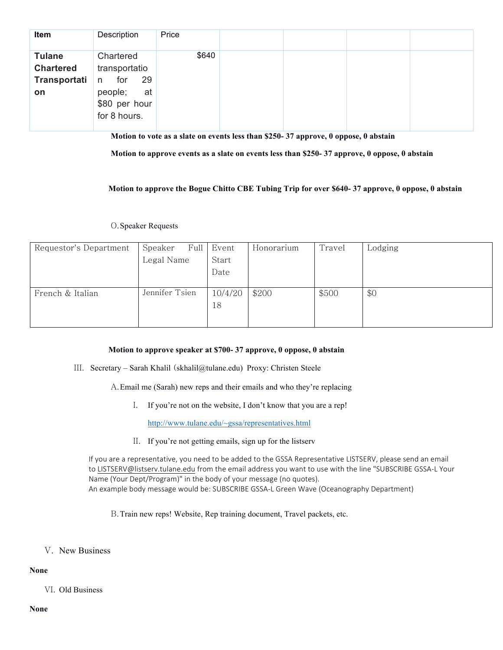| Item             | Description     | Price |  |  |
|------------------|-----------------|-------|--|--|
| <b>Tulane</b>    | Chartered       | \$640 |  |  |
| <b>Chartered</b> | transportatio   |       |  |  |
| Transportati     | 29<br>for<br>n. |       |  |  |
| on               | people;<br>at   |       |  |  |
|                  | \$80 per hour   |       |  |  |
|                  | for 8 hours.    |       |  |  |

**Motion to vote as a slate on events less than \$250- 37 approve, 0 oppose, 0 abstain**

**Motion to approve events as a slate on events less than \$250- 37 approve, 0 oppose, 0 abstain**

**Motion to approve the Bogue Chitto CBE Tubing Trip for over \$640- 37 approve, 0 oppose, 0 abstain**

## O.Speaker Requests

| Requestor's Department | Speaker        |  | Full Event | Honorarium | Travel | Lodging |
|------------------------|----------------|--|------------|------------|--------|---------|
|                        | Legal Name     |  | Start      |            |        |         |
|                        |                |  | Date       |            |        |         |
|                        |                |  |            |            |        |         |
| French & Italian       | Jennifer Tsien |  | 10/4/20    | \$200      | \$500  | \$0     |
|                        |                |  | 18         |            |        |         |
|                        |                |  |            |            |        |         |

# **Motion to approve speaker at \$700- 37 approve, 0 oppose, 0 abstain**

III. Secretary – Sarah Khalil (skhalil@tulane.edu) Proxy: Christen Steele

A.Email me (Sarah) new reps and their emails and who they're replacing

I. If you're not on the website, I don't know that you are a rep!

http://www.tulane.edu/~gssa/representatives.html

II. If you're not getting emails, sign up for the listserv

If you are a representative, you need to be added to the GSSA Representative LISTSERV, please send an email to LISTSERV@listserv.tulane.edu from the email address you want to use with the line "SUBSCRIBE GSSA-L Your Name (Your Dept/Program)" in the body of your message (no quotes). An example body message would be: SUBSCRIBE GSSA-L Green Wave (Oceanography Department)

B.Train new reps! Website, Rep training document, Travel packets, etc.

V. New Business

# **None**

VI. Old Business